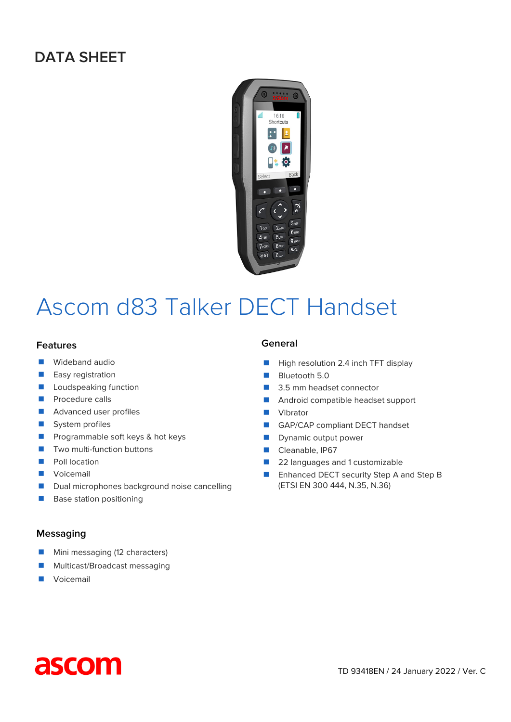# **DATA SHEET**



# Ascom d83 Talker DECT Handset

#### **Features**

- **Nideband audio**
- **Easy registration**
- **Lacks** Loudspeaking function
- $\blacksquare$  Procedure calls
- **Advanced user profiles**
- System profiles
- **Programmable soft keys & hot keys**
- $\blacksquare$  Two multi-function buttons
- **Poll location**
- **Voicemail**
- Dual microphones background noise cancelling
- Base station positioning

#### **Messaging**

- **Mini messaging (12 characters)**
- **Multicast/Broadcast messaging**
- **Voicemail**

#### **General**

- $\blacksquare$  High resolution 2.4 inch TFT display
- **Bluetooth 5.0**
- 3.5 mm headset connector
- **Android compatible headset support**
- **Vibrator**
- GAP/CAP compliant DECT handset
- **Dynamic output power**
- Cleanable, IP67
- 22 languages and 1 customizable
- Enhanced DECT security Step A and Step B (ETSI EN 300 444, N.35, N.36)

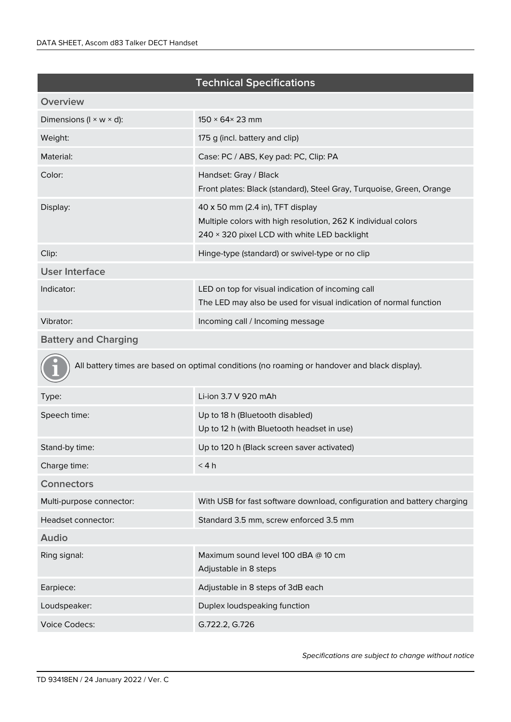# **Technical Specifications**

| Overview                              |                                                                                                                                                   |
|---------------------------------------|---------------------------------------------------------------------------------------------------------------------------------------------------|
| Dimensions ( $I \times W \times d$ ): | $150 \times 64 \times 23$ mm                                                                                                                      |
| Weight:                               | 175 g (incl. battery and clip)                                                                                                                    |
| Material:                             | Case: PC / ABS, Key pad: PC, Clip: PA                                                                                                             |
| Color:                                | Handset: Gray / Black<br>Front plates: Black (standard), Steel Gray, Turquoise, Green, Orange                                                     |
| Display:                              | 40 x 50 mm (2.4 in), TFT display<br>Multiple colors with high resolution, 262 K individual colors<br>240 × 320 pixel LCD with white LED backlight |
| Clip:                                 | Hinge-type (standard) or swivel-type or no clip                                                                                                   |
| <b>User Interface</b>                 |                                                                                                                                                   |
| Indicator:                            | LED on top for visual indication of incoming call<br>The LED may also be used for visual indication of normal function                            |
| Vibrator:                             | Incoming call / Incoming message                                                                                                                  |

# **Battery and Charging**

All battery times are based on optimal conditions (no roaming or handover and black display).

| Li-ion 3.7 V 920 mAh                                                          |
|-------------------------------------------------------------------------------|
| Up to 18 h (Bluetooth disabled)<br>Up to 12 h (with Bluetooth headset in use) |
| Up to 120 h (Black screen saver activated)                                    |
| < 4 h                                                                         |
|                                                                               |
| With USB for fast software download, configuration and battery charging       |
| Standard 3.5 mm, screw enforced 3.5 mm                                        |
|                                                                               |
| Maximum sound level 100 dBA @ 10 cm<br>Adjustable in 8 steps                  |
| Adjustable in 8 steps of 3dB each                                             |
| Duplex loudspeaking function                                                  |
| G.722.2, G.726                                                                |
|                                                                               |

*Specifications are subject to change without notice*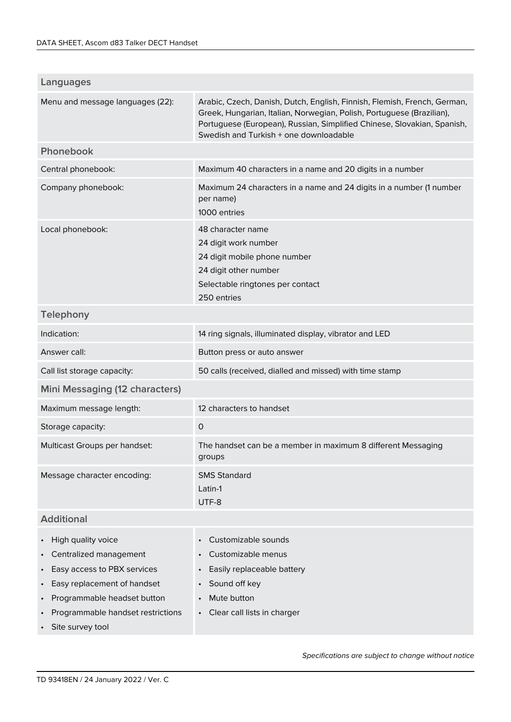| Arabic, Czech, Danish, Dutch, English, Finnish, Flemish, French, German,<br>Greek, Hungarian, Italian, Norwegian, Polish, Portuguese (Brazilian), |
|---------------------------------------------------------------------------------------------------------------------------------------------------|
| Portuguese (European), Russian, Simplified Chinese, Slovakian, Spanish,                                                                           |
|                                                                                                                                                   |
|                                                                                                                                                   |
| Maximum 24 characters in a name and 24 digits in a number (1 number                                                                               |
|                                                                                                                                                   |
|                                                                                                                                                   |
|                                                                                                                                                   |
|                                                                                                                                                   |
|                                                                                                                                                   |
|                                                                                                                                                   |
|                                                                                                                                                   |
|                                                                                                                                                   |
|                                                                                                                                                   |
|                                                                                                                                                   |
|                                                                                                                                                   |
|                                                                                                                                                   |
|                                                                                                                                                   |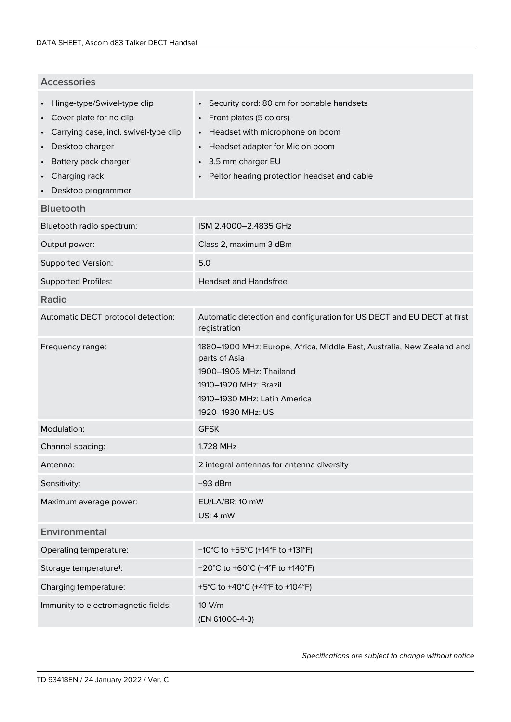# **Accessories**

| Hinge-type/Swivel-type clip<br>Cover plate for no clip<br>$\bullet$<br>Carrying case, incl. swivel-type clip<br>$\bullet$<br>Desktop charger<br>$\bullet$<br>Battery pack charger<br>Charging rack<br>Desktop programmer | Security cord: 80 cm for portable handsets<br>$\bullet$<br>Front plates (5 colors)<br>$\bullet$<br>Headset with microphone on boom<br>$\bullet$<br>Headset adapter for Mic on boom<br>3.5 mm charger EU<br>Peltor hearing protection headset and cable |
|--------------------------------------------------------------------------------------------------------------------------------------------------------------------------------------------------------------------------|--------------------------------------------------------------------------------------------------------------------------------------------------------------------------------------------------------------------------------------------------------|
| <b>Bluetooth</b>                                                                                                                                                                                                         |                                                                                                                                                                                                                                                        |
| Bluetooth radio spectrum:                                                                                                                                                                                                | ISM 2.4000-2.4835 GHz                                                                                                                                                                                                                                  |
| Output power:                                                                                                                                                                                                            | Class 2, maximum 3 dBm                                                                                                                                                                                                                                 |
| <b>Supported Version:</b>                                                                                                                                                                                                | 5.0                                                                                                                                                                                                                                                    |
| <b>Supported Profiles:</b>                                                                                                                                                                                               | <b>Headset and Handsfree</b>                                                                                                                                                                                                                           |
| <b>Radio</b>                                                                                                                                                                                                             |                                                                                                                                                                                                                                                        |
| Automatic DECT protocol detection:                                                                                                                                                                                       | Automatic detection and configuration for US DECT and EU DECT at first<br>registration                                                                                                                                                                 |
| Frequency range:                                                                                                                                                                                                         | 1880-1900 MHz: Europe, Africa, Middle East, Australia, New Zealand and<br>parts of Asia<br>1900-1906 MHz: Thailand<br>1910-1920 MHz: Brazil<br>1910–1930 MHz: Latin America<br>1920-1930 MHz: US                                                       |
| Modulation:                                                                                                                                                                                                              | <b>GFSK</b>                                                                                                                                                                                                                                            |
| Channel spacing:                                                                                                                                                                                                         | 1.728 MHz                                                                                                                                                                                                                                              |
| Antenna:                                                                                                                                                                                                                 | 2 integral antennas for antenna diversity                                                                                                                                                                                                              |
| Sensitivity:                                                                                                                                                                                                             | $-93$ dBm                                                                                                                                                                                                                                              |
| Maximum average power:                                                                                                                                                                                                   | EU/LA/BR: 10 mW<br><b>US: 4 mW</b>                                                                                                                                                                                                                     |
| Environmental                                                                                                                                                                                                            |                                                                                                                                                                                                                                                        |
| Operating temperature:                                                                                                                                                                                                   | $-10^{\circ}$ C to +55 $^{\circ}$ C (+14 $^{\circ}$ F to +131 $^{\circ}$ F)                                                                                                                                                                            |
| Storage temperature <sup>1</sup> :                                                                                                                                                                                       | $-20^{\circ}$ C to +60 $^{\circ}$ C (-4 $^{\circ}$ F to +140 $^{\circ}$ F)                                                                                                                                                                             |
| Charging temperature:                                                                                                                                                                                                    | +5°C to +40°C (+41°F to +104°F)                                                                                                                                                                                                                        |
| Immunity to electromagnetic fields:                                                                                                                                                                                      | 10 V/m<br>(EN 61000-4-3)                                                                                                                                                                                                                               |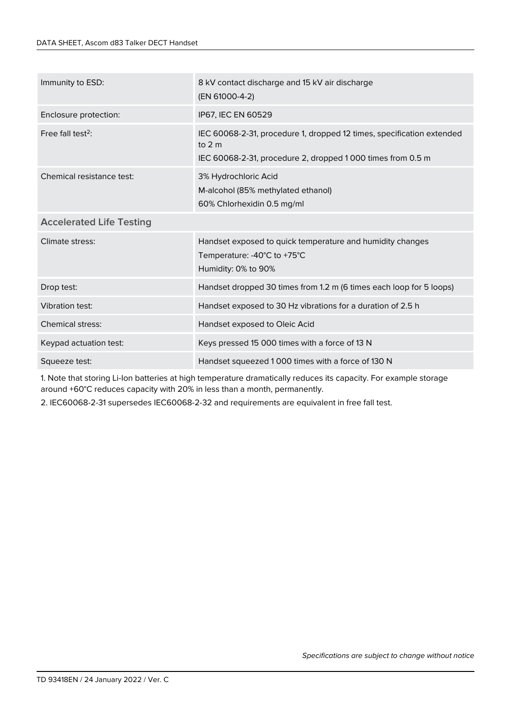| Immunity to ESD:                | 8 kV contact discharge and 15 kV air discharge<br>(EN 61000-4-2)                                                                                |
|---------------------------------|-------------------------------------------------------------------------------------------------------------------------------------------------|
| Enclosure protection:           | IP67, IEC EN 60529                                                                                                                              |
| Free fall test <sup>2</sup> :   | IEC 60068-2-31, procedure 1, dropped 12 times, specification extended<br>to $2m$<br>IEC 60068-2-31, procedure 2, dropped 1 000 times from 0.5 m |
| Chemical resistance test:       | 3% Hydrochloric Acid<br>M-alcohol (85% methylated ethanol)<br>60% Chlorhexidin 0.5 mg/ml                                                        |
| <b>Accelerated Life Testing</b> |                                                                                                                                                 |
| Climate stress:                 | Handset exposed to quick temperature and humidity changes<br>Temperature: -40°C to +75°C<br>Humidity: 0% to 90%                                 |
| Drop test:                      | Handset dropped 30 times from 1.2 m (6 times each loop for 5 loops)                                                                             |
| <b>Vibration test:</b>          | Handset exposed to 30 Hz vibrations for a duration of 2.5 h                                                                                     |
| <b>Chemical stress:</b>         | Handset exposed to Oleic Acid                                                                                                                   |
| Keypad actuation test:          | Keys pressed 15 000 times with a force of 13 N                                                                                                  |
| Squeeze test:                   | Handset squeezed 1000 times with a force of 130 N                                                                                               |

1. Note that storing Li-Ion batteries at high temperature dramatically reduces its capacity. For example storage around +60°C reduces capacity with 20% in less than a month, permanently.

2. IEC60068-2-31 supersedes IEC60068-2-32 and requirements are equivalent in free fall test.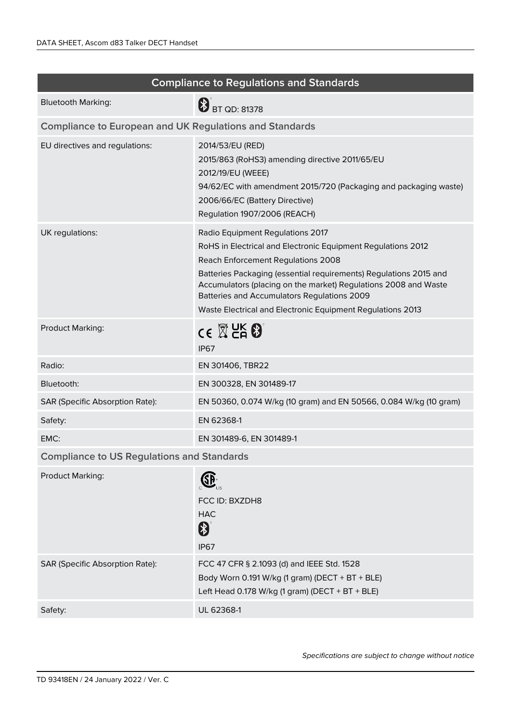| <b>Compliance to Regulations and Standards</b>                                                                                                                                                                                                                                                                                                                                              |  |  |
|---------------------------------------------------------------------------------------------------------------------------------------------------------------------------------------------------------------------------------------------------------------------------------------------------------------------------------------------------------------------------------------------|--|--|
| <b>B</b> BT QD: 81378                                                                                                                                                                                                                                                                                                                                                                       |  |  |
| <b>Compliance to European and UK Regulations and Standards</b>                                                                                                                                                                                                                                                                                                                              |  |  |
| 2014/53/EU (RED)<br>2015/863 (RoHS3) amending directive 2011/65/EU<br>2012/19/EU (WEEE)<br>94/62/EC with amendment 2015/720 (Packaging and packaging waste)<br>2006/66/EC (Battery Directive)<br>Regulation 1907/2006 (REACH)                                                                                                                                                               |  |  |
| Radio Equipment Regulations 2017<br>RoHS in Electrical and Electronic Equipment Regulations 2012<br>Reach Enforcement Regulations 2008<br>Batteries Packaging (essential requirements) Regulations 2015 and<br>Accumulators (placing on the market) Regulations 2008 and Waste<br>Batteries and Accumulators Regulations 2009<br>Waste Electrical and Electronic Equipment Regulations 2013 |  |  |
| $\mathsf{CE} \boxtimes \mathsf{CE}$<br><b>IP67</b>                                                                                                                                                                                                                                                                                                                                          |  |  |
| EN 301406, TBR22                                                                                                                                                                                                                                                                                                                                                                            |  |  |
| EN 300328, EN 301489-17                                                                                                                                                                                                                                                                                                                                                                     |  |  |
| EN 50360, 0.074 W/kg (10 gram) and EN 50566, 0.084 W/kg (10 gram)                                                                                                                                                                                                                                                                                                                           |  |  |
| EN 62368-1                                                                                                                                                                                                                                                                                                                                                                                  |  |  |
| EN 301489-6, EN 301489-1                                                                                                                                                                                                                                                                                                                                                                    |  |  |
| <b>Compliance to US Regulations and Standards</b>                                                                                                                                                                                                                                                                                                                                           |  |  |
| Œ<br>FCC ID: BXZDH8<br><b>HAC</b><br>\$<br><b>IP67</b>                                                                                                                                                                                                                                                                                                                                      |  |  |
| FCC 47 CFR § 2.1093 (d) and IEEE Std. 1528<br>Body Worn 0.191 W/kg (1 gram) (DECT + BT + BLE)<br>Left Head 0.178 W/kg (1 gram) (DECT + BT + BLE)                                                                                                                                                                                                                                            |  |  |
| UL 62368-1                                                                                                                                                                                                                                                                                                                                                                                  |  |  |
|                                                                                                                                                                                                                                                                                                                                                                                             |  |  |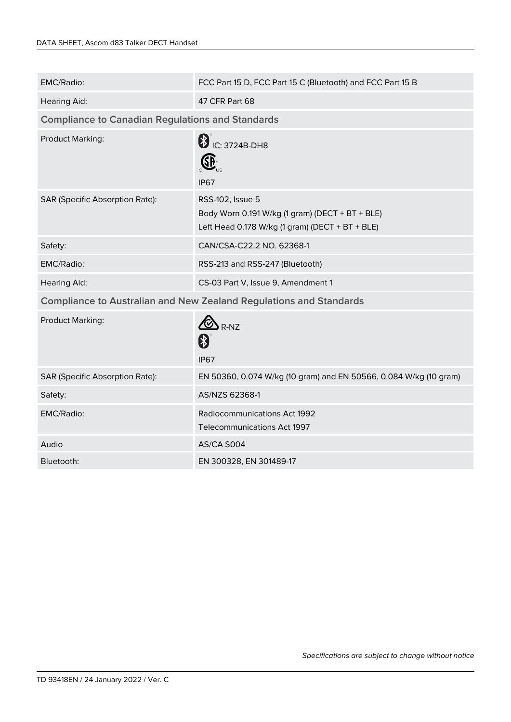| EMC/Radio:                                                                | FCC Part 15 D, FCC Part 15 C (Bluetooth) and FCC Part 15 B                                                             |  |
|---------------------------------------------------------------------------|------------------------------------------------------------------------------------------------------------------------|--|
| <b>Hearing Aid:</b>                                                       | 47 CFR Part 68                                                                                                         |  |
| <b>Compliance to Canadian Regulations and Standards</b>                   |                                                                                                                        |  |
| Product Marking:                                                          | <b>B</b> IC: 3724B-DH8<br>$\bigoplus$ <sub>us</sub><br><b>IP67</b>                                                     |  |
| SAR (Specific Absorption Rate):                                           | RSS-102, Issue 5<br>Body Worn 0.191 W/kg (1 gram) (DECT + BT + BLE)<br>Left Head 0.178 W/kg (1 gram) (DECT + BT + BLE) |  |
| Safety:                                                                   | CAN/CSA-C22.2 NO. 62368-1                                                                                              |  |
| EMC/Radio:                                                                | RSS-213 and RSS-247 (Bluetooth)                                                                                        |  |
| <b>Hearing Aid:</b>                                                       | CS-03 Part V, Issue 9, Amendment 1                                                                                     |  |
| <b>Compliance to Australian and New Zealand Regulations and Standards</b> |                                                                                                                        |  |
| Product Marking:                                                          | $\bm{\heartsuit}$<br>$R-NZ$<br>\$<br><b>IP67</b>                                                                       |  |
| <b>SAR (Specific Absorption Rate):</b>                                    | EN 50360, 0.074 W/kg (10 gram) and EN 50566, 0.084 W/kg (10 gram)                                                      |  |
| Safety:                                                                   | AS/NZS 62368-1                                                                                                         |  |
| EMC/Radio:                                                                | Radiocommunications Act 1992<br><b>Telecommunications Act 1997</b>                                                     |  |
| Audio                                                                     | AS/CA S004                                                                                                             |  |
| Bluetooth:                                                                | EN 300328, EN 301489-17                                                                                                |  |
|                                                                           |                                                                                                                        |  |